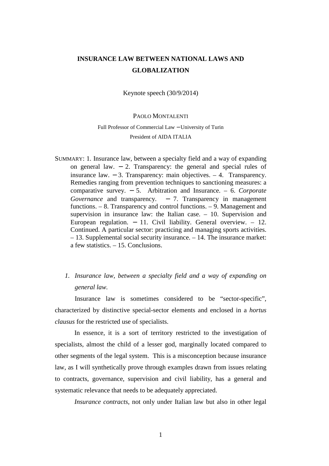# **INSURANCE LAW BETWEEN NATIONAL LAWS AND GLOBALIZATION**

Keynote speech (30/9/2014)

# PAOLO MONTALENTI

# Full Professor of Commercial Law − University of Turin President of AIDA ITALIA

- SUMMARY: 1. Insurance law, between a specialty field and a way of expanding on general law. − 2. Transparency: the general and special rules of insurance law. − 3. Transparency: main objectives. – 4. Transparency. Remedies ranging from prevention techniques to sanctioning measures: a comparative survey. − 5. Arbitration and Insurance. *–* 6. *Corporate Governance* and transparency. – 7. Transparency in management functions. – 8. Transparency and control functions. – 9. Management and supervision in insurance law: the Italian case. – 10. Supervision and European regulation.  $-11$ . Civil liability. General overview.  $-12$ . Continued. A particular sector: practicing and managing sports activities. – 13. Supplemental social security insurance. – 14. The insurance market: a few statistics. – 15. Conclusions.
	- *1. Insurance law, between a specialty field and a way of expanding on general law.*

Insurance law is sometimes considered to be "sector-specific", characterized by distinctive special-sector elements and enclosed in a *hortus clausus* for the restricted use of specialists.

In essence, it is a sort of territory restricted to the investigation of specialists, almost the child of a lesser god, marginally located compared to other segments of the legal system. This is a misconception because insurance law, as I will synthetically prove through examples drawn from issues relating to contracts, governance, supervision and civil liability, has a general and systematic relevance that needs to be adequately appreciated.

*Insurance contracts*, not only under Italian law but also in other legal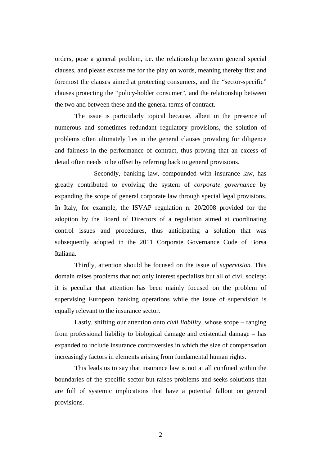orders, pose a general problem, i.e. the relationship between general special clauses, and please excuse me for the play on words, meaning thereby first and foremost the clauses aimed at protecting consumers, and the "sector-specific" clauses protecting the "policy-holder consumer", and the relationship between the two and between these and the general terms of contract.

 The issue is particularly topical because, albeit in the presence of numerous and sometimes redundant regulatory provisions, the solution of problems often ultimately lies in the general clauses providing for diligence and fairness in the performance of contract, thus proving that an excess of detail often needs to be offset by referring back to general provisions.

 Secondly, banking law, compounded with insurance law, has greatly contributed to evolving the system of *corporate governance* by expanding the scope of general corporate law through special legal provisions. In Italy, for example, the ISVAP regulation n. 20/2008 provided for the adoption by the Board of Directors of a regulation aimed at coordinating control issues and procedures, thus anticipating a solution that was subsequently adopted in the 2011 Corporate Governance Code of Borsa Italiana.

Thirdly, attention should be focused on the issue of *supervision.* This domain raises problems that not only interest specialists but all of civil society: it is peculiar that attention has been mainly focused on the problem of supervising European banking operations while the issue of supervision is equally relevant to the insurance sector.

Lastly, shifting our attention onto *civil liability,* whose scope – ranging from professional liability to biological damage and existential damage – has expanded to include insurance controversies in which the size of compensation increasingly factors in elements arising from fundamental human rights.

This leads us to say that insurance law is not at all confined within the boundaries of the specific sector but raises problems and seeks solutions that are full of systemic implications that have a potential fallout on general provisions.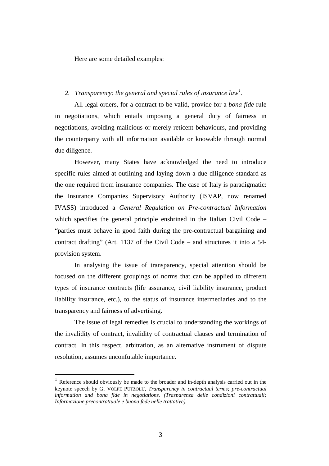Here are some detailed examples:

# *2. Transparency: the general and special rules of insurance law<sup>1</sup> .*

All legal orders, for a contract to be valid, provide for a *bona fide* rule in negotiations, which entails imposing a general duty of fairness in negotiations, avoiding malicious or merely reticent behaviours, and providing the counterparty with all information available or knowable through normal due diligence.

However, many States have acknowledged the need to introduce specific rules aimed at outlining and laying down a due diligence standard as the one required from insurance companies. The case of Italy is paradigmatic: the Insurance Companies Supervisory Authority (ISVAP, now renamed IVASS) introduced a *General Regulation on Pre-contractual Information*  which specifies the general principle enshrined in the Italian Civil Code – "parties must behave in good faith during the pre-contractual bargaining and contract drafting" (Art. 1137 of the Civil Code – and structures it into a 54 provision system.

In analysing the issue of transparency, special attention should be focused on the different groupings of norms that can be applied to different types of insurance contracts (life assurance, civil liability insurance, product liability insurance, etc.), to the status of insurance intermediaries and to the transparency and fairness of advertising.

The issue of legal remedies is crucial to understanding the workings of the invalidity of contract, invalidity of contractual clauses and termination of contract. In this respect, arbitration, as an alternative instrument of dispute resolution, assumes unconfutable importance.

<sup>1</sup> Reference should obviously be made to the broader and in-depth analysis carried out in the keynote speech by G. VOLPE PUTZOLU, *Transparency in contractual terms; pre-contractual information and bona fide in negotiations. (Trasparenza delle condizioni contrattuali; Informazione precontrattuale e buona fede nelle trattative).*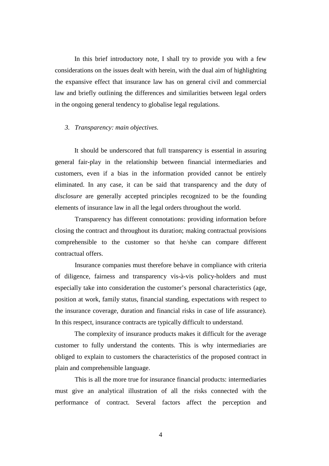In this brief introductory note, I shall try to provide you with a few considerations on the issues dealt with herein, with the dual aim of highlighting the expansive effect that insurance law has on general civil and commercial law and briefly outlining the differences and similarities between legal orders in the ongoing general tendency to globalise legal regulations.

#### *3. Transparency: main objectives.*

It should be underscored that full transparency is essential in assuring general fair-play in the relationship between financial intermediaries and customers, even if a bias in the information provided cannot be entirely eliminated. In any case, it can be said that transparency and the duty of *disclosure* are generally accepted principles recognized to be the founding elements of insurance law in all the legal orders throughout the world.

Transparency has different connotations: providing information before closing the contract and throughout its duration; making contractual provisions comprehensible to the customer so that he/she can compare different contractual offers.

Insurance companies must therefore behave in compliance with criteria of diligence, fairness and transparency vis-à-vis policy-holders and must especially take into consideration the customer's personal characteristics (age, position at work, family status, financial standing, expectations with respect to the insurance coverage, duration and financial risks in case of life assurance). In this respect, insurance contracts are typically difficult to understand.

 The complexity of insurance products makes it difficult for the average customer to fully understand the contents. This is why intermediaries are obliged to explain to customers the characteristics of the proposed contract in plain and comprehensible language.

This is all the more true for insurance financial products: intermediaries must give an analytical illustration of all the risks connected with the performance of contract. Several factors affect the perception and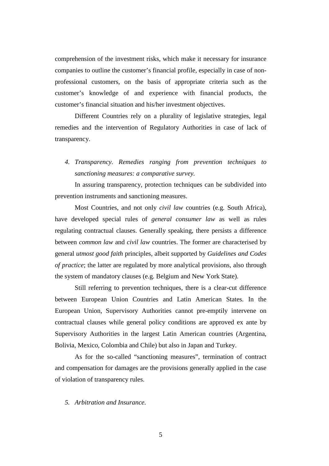comprehension of the investment risks, which make it necessary for insurance companies to outline the customer's financial profile, especially in case of nonprofessional customers, on the basis of appropriate criteria such as the customer's knowledge of and experience with financial products, the customer's financial situation and his/her investment objectives.

Different Countries rely on a plurality of legislative strategies, legal remedies and the intervention of Regulatory Authorities in case of lack of transparency.

*4. Transparency. Remedies ranging from prevention techniques to sanctioning measures: a comparative survey.* 

In assuring transparency, protection techniques can be subdivided into prevention instruments and sanctioning measures.

Most Countries, and not only *civil law* countries (e.g. South Africa), have developed special rules of *general consumer law* as well as rules regulating contractual clauses. Generally speaking, there persists a difference between *common law* and *civil law* countries. The former are characterised by general *utmost good faith* principles, albeit supported by *Guidelines and Codes of practice*; the latter are regulated by more analytical provisions, also through the system of mandatory clauses (e.g. Belgium and New York State).

Still referring to prevention techniques, there is a clear-cut difference between European Union Countries and Latin American States. In the European Union, Supervisory Authorities cannot pre-emptily intervene on contractual clauses while general policy conditions are approved ex ante by Supervisory Authorities in the largest Latin American countries (Argentina, Bolivia, Mexico, Colombia and Chile) but also in Japan and Turkey.

As for the so-called "sanctioning measures", termination of contract and compensation for damages are the provisions generally applied in the case of violation of transparency rules.

*5. Arbitration and Insurance.*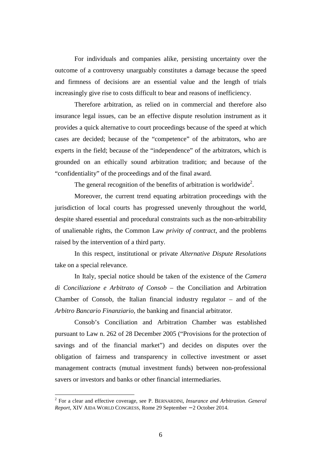For individuals and companies alike, persisting uncertainty over the outcome of a controversy unarguably constitutes a damage because the speed and firmness of decisions are an essential value and the length of trials increasingly give rise to costs difficult to bear and reasons of inefficiency.

Therefore arbitration, as relied on in commercial and therefore also insurance legal issues, can be an effective dispute resolution instrument as it provides a quick alternative to court proceedings because of the speed at which cases are decided; because of the "competence" of the arbitrators, who are experts in the field; because of the "independence" of the arbitrators, which is grounded on an ethically sound arbitration tradition; and because of the "confidentiality" of the proceedings and of the final award.

The general recognition of the benefits of arbitration is worldwide<sup>2</sup>.

Moreover, the current trend equating arbitration proceedings with the jurisdiction of local courts has progressed unevenly throughout the world, despite shared essential and procedural constraints such as the non-arbitrability of unalienable rights, the Common Law *privity of contract*, and the problems raised by the intervention of a third party.

In this respect, institutional or private *Alternative Dispute Resolutions*  take on a special relevance.

In Italy, special notice should be taken of the existence of the *Camera di Conciliazione e Arbitrato of Consob –* the Conciliation and Arbitration Chamber of Consob, the Italian financial industry regulator – and of the *Arbitro Bancario Finanziario,* the banking and financial arbitrator.

Consob's Conciliation and Arbitration Chamber was established pursuant to Law n. 262 of 28 December 2005 ("Provisions for the protection of savings and of the financial market") and decides on disputes over the obligation of fairness and transparency in collective investment or asset management contracts (mutual investment funds) between non-professional savers or investors and banks or other financial intermediaries.

<sup>2</sup> For a clear and effective coverage, see P. BERNARDINI, *Insurance and Arbitration. General Report*, XIV AIDA WORLD CONGRESS, Rome 29 September − 2 October 2014.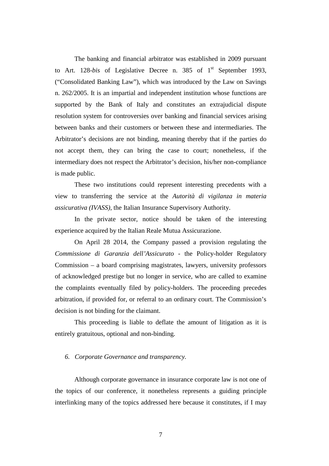The banking and financial arbitrator was established in 2009 pursuant to Art. 128*-bis* of Legislative Decree n. 385 of 1<sup>st</sup> September 1993, ("Consolidated Banking Law"), which was introduced by the Law on Savings n. 262/2005. It is an impartial and independent institution whose functions are supported by the Bank of Italy and constitutes an extrajudicial dispute resolution system for controversies over banking and financial services arising between banks and their customers or between these and intermediaries. The Arbitrator's decisions are not binding, meaning thereby that if the parties do not accept them, they can bring the case to court; nonetheless, if the intermediary does not respect the Arbitrator's decision, his/her non-compliance is made public.

These two institutions could represent interesting precedents with a view to transferring the service at the *Autorità di vigilanza in materia assicurativa (IVASS),* the Italian Insurance Supervisory Authority.

In the private sector, notice should be taken of the interesting experience acquired by the Italian Reale Mutua Assicurazione.

On April 28 2014, the Company passed a provision regulating the *Commissione di Garanzia dell'Assicurato -* the Policy-holder Regulatory Commission – a board comprising magistrates, lawyers, university professors of acknowledged prestige but no longer in service, who are called to examine the complaints eventually filed by policy-holders. The proceeding precedes arbitration, if provided for, or referral to an ordinary court. The Commission's decision is not binding for the claimant.

This proceeding is liable to deflate the amount of litigation as it is entirely gratuitous, optional and non-binding.

# *6. Corporate Governance and transparency.*

Although corporate governance in insurance corporate law is not one of the topics of our conference, it nonetheless represents a guiding principle interlinking many of the topics addressed here because it constitutes, if I may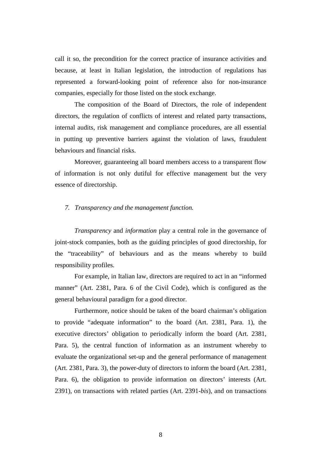call it so, the precondition for the correct practice of insurance activities and because, at least in Italian legislation, the introduction of regulations has represented a forward-looking point of reference also for non-insurance companies, especially for those listed on the stock exchange.

The composition of the Board of Directors, the role of independent directors, the regulation of conflicts of interest and related party transactions, internal audits, risk management and compliance procedures, are all essential in putting up preventive barriers against the violation of laws, fraudulent behaviours and financial risks.

Moreover, guaranteeing all board members access to a transparent flow of information is not only dutiful for effective management but the very essence of directorship.

#### *7. Transparency and the management function.*

*Transparency* and *information* play a central role in the governance of joint-stock companies, both as the guiding principles of good directorship, for the "traceability" of behaviours and as the means whereby to build responsibility profiles.

For example, in Italian law, directors are required to act in an "informed manner" (Art. 2381, Para. 6 of the Civil Code), which is configured as the general behavioural paradigm for a good director.

Furthermore, notice should be taken of the board chairman's obligation to provide "adequate information" to the board (Art. 2381, Para. 1), the executive directors' obligation to periodically inform the board (Art. 2381, Para. 5), the central function of information as an instrument whereby to evaluate the organizational set-up and the general performance of management (Art. 2381, Para. 3), the power-duty of directors to inform the board (Art. 2381, Para. 6), the obligation to provide information on directors' interests (Art. 2391), on transactions with related parties (Art. 2391-*bis*), and on transactions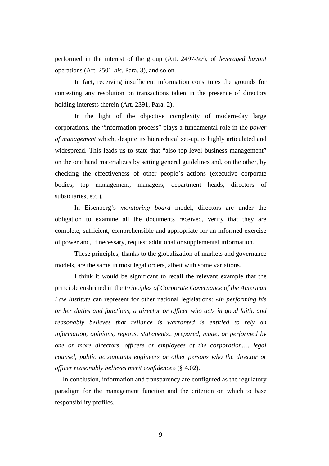performed in the interest of the group (Art. 2497-*ter*), of *leveraged buyout* operations (Art. 2501-*bis*, Para. 3), and so on.

In fact, receiving insufficient information constitutes the grounds for contesting any resolution on transactions taken in the presence of directors holding interests therein (Art. 2391, Para. 2).

In the light of the objective complexity of modern-day large corporations, the "information process" plays a fundamental role in the *power of management* which, despite its hierarchical set-up, is highly articulated and widespread. This leads us to state that "also top-level business management" on the one hand materializes by setting general guidelines and, on the other, by checking the effectiveness of other people's actions (executive corporate bodies, top management, managers, department heads, directors of subsidiaries, etc.).

In Eisenberg's *monitoring board* model, directors are under the obligation to examine all the documents received, verify that they are complete, sufficient, comprehensible and appropriate for an informed exercise of power and, if necessary, request additional or supplemental information.

These principles, thanks to the globalization of markets and governance models, are the same in most legal orders, albeit with some variations.

I think it would be significant to recall the relevant example that the principle enshrined in the *Principles of Corporate Governance of the American Law Institute* can represent for other national legislations: «*in performing his or her duties and functions, a director or officer who acts in good faith, and reasonably believes that reliance is warranted is entitled to rely on information, opinions, reports, statements.. prepared, made, or performed by one or more directors, officers or employees of the corporation…, legal counsel, public accountants engineers or other persons who the director or officer reasonably believes merit confidence*» (§ 4.02).

In conclusion, information and transparency are configured as the regulatory paradigm for the management function and the criterion on which to base responsibility profiles.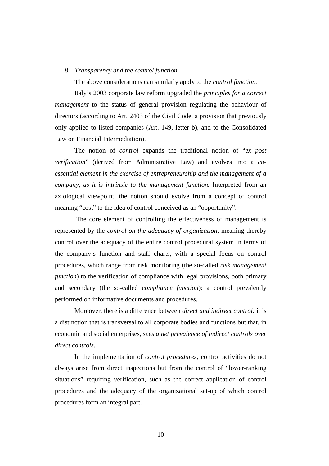# *8. Transparency and the control function.*

The above considerations can similarly apply to the *control function.* 

Italy's 2003 corporate law reform upgraded the *principles for a correct management* to the status of general provision regulating the behaviour of directors (according to Art. 2403 of the Civil Code, a provision that previously only applied to listed companies (Art. 149, letter b), and to the Consolidated Law on Financial Intermediation).

The notion of *control* expands the traditional notion of "*ex post verification*" (derived from Administrative Law) and evolves into a *coessential element in the exercise of entrepreneurship and the management of a company, as it is intrinsic to the management function.* Interpreted from an axiological viewpoint, the notion should evolve from a concept of control meaning "cost" to the idea of control conceived as an "opportunity".

 The core element of controlling the effectiveness of management is represented by the *control on the adequacy of organization,* meaning thereby control over the adequacy of the entire control procedural system in terms of the company's function and staff charts, with a special focus on control procedures, which range from risk monitoring (the so-called *risk management function*) to the verification of compliance with legal provisions, both primary and secondary (the so-called *compliance function*): a control prevalently performed on informative documents and procedures.

Moreover, there is a difference between *direct and indirect control:* it is a distinction that is transversal to all corporate bodies and functions but that, in economic and social enterprises, *sees a net prevalence of indirect controls over direct controls.*

In the implementation of *control procedures*, control activities do not always arise from direct inspections but from the control of "lower-ranking situations" requiring verification, such as the correct application of control procedures and the adequacy of the organizational set-up of which control procedures form an integral part.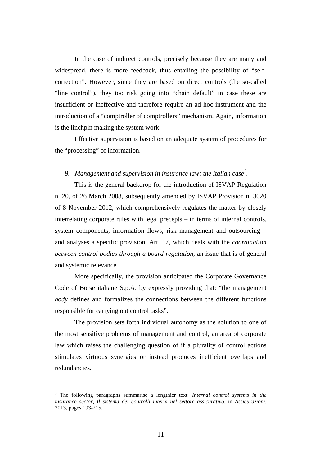In the case of indirect controls, precisely because they are many and widespread, there is more feedback, thus entailing the possibility of "selfcorrection". However, since they are based on direct controls (the so-called "line control"), they too risk going into "chain default" in case these are insufficient or ineffective and therefore require an ad hoc instrument and the introduction of a "comptroller of comptrollers" mechanism. Again, information is the linchpin making the system work.

Effective supervision is based on an adequate system of procedures for the "processing" of information.

# *9. Management and supervision in insurance law: the Italian case<sup>3</sup> .*

This is the general backdrop for the introduction of ISVAP Regulation n. 20, of 26 March 2008, subsequently amended by ISVAP Provision n. 3020 of 8 November 2012, which comprehensively regulates the matter by closely interrelating corporate rules with legal precepts – in terms of internal controls, system components, information flows, risk management and outsourcing – and analyses a specific provision, Art. 17, which deals with the *coordination between control bodies through a board regulation,* an issue that is of general and systemic relevance.

More specifically, the provision anticipated the Corporate Governance Code of Borse italiane S.p.A. by expressly providing that: "the management *body* defines and formalizes the connections between the different functions responsible for carrying out control tasks".

The provision sets forth individual autonomy as the solution to one of the most sensitive problems of management and control, an area of corporate law which raises the challenging question of if a plurality of control actions stimulates virtuous synergies or instead produces inefficient overlaps and redundancies.

 3 The following paragraphs summarise a lengthier text: *Internal control systems in the insurance sector, Il sistema dei controlli interni nel settore assicurativo,* in *Assicurazioni,* 2013, pages 193-215.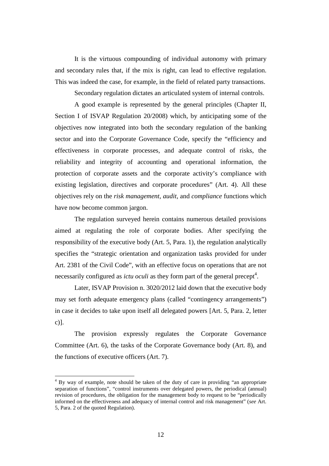It is the virtuous compounding of individual autonomy with primary and secondary rules that, if the mix is right, can lead to effective regulation. This was indeed the case, for example, in the field of related party transactions.

Secondary regulation dictates an articulated system of internal controls.

A good example is represented by the general principles (Chapter II, Section I of ISVAP Regulation 20/2008) which, by anticipating some of the objectives now integrated into both the secondary regulation of the banking sector and into the Corporate Governance Code, specify the "efficiency and effectiveness in corporate processes, and adequate control of risks, the reliability and integrity of accounting and operational information, the protection of corporate assets and the corporate activity's compliance with existing legislation, directives and corporate procedures" (Art. 4). All these objectives rely on the *risk management*, *audit*, and *compliance* functions which have now become common jargon.

The regulation surveyed herein contains numerous detailed provisions aimed at regulating the role of corporate bodies. After specifying the responsibility of the executive body (Art. 5, Para. 1), the regulation analytically specifies the "strategic orientation and organization tasks provided for under Art. 2381 of the Civil Code", with an effective focus on operations that are not necessarily configured as *ictu oculi* as they form part of the general precept<sup>4</sup>.

Later, ISVAP Provision n. 3020/2012 laid down that the executive body may set forth adequate emergency plans (called "contingency arrangements") in case it decides to take upon itself all delegated powers [Art. 5, Para. 2, letter c)].

The provision expressly regulates the Corporate Governance Committee (Art. 6), the tasks of the Corporate Governance body (Art. 8), and the functions of executive officers (Art. 7).

<sup>&</sup>lt;sup>4</sup> By way of example, note should be taken of the duty of care in providing "an appropriate separation of functions", "control instruments over delegated powers, the periodical (annual) revision of procedures, the obligation for the management body to request to be "periodically informed on the effectiveness and adequacy of internal control and risk management" (*see* Art. 5, Para. 2 of the quoted Regulation).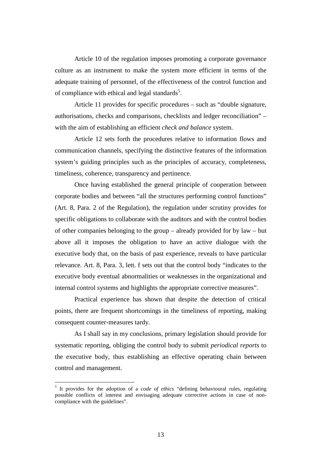Article 10 of the regulation imposes promoting a corporate governance culture as an instrument to make the system more efficient in terms of the adequate training of personnel, of the effectiveness of the control function and of compliance with ethical and legal standards<sup>5</sup>.

Article 11 provides for specific procedures – such as "double signature, authorisations, checks and comparisons, checklists and ledger reconciliation" – with the aim of establishing an efficient *check and balance* system.

Article 12 sets forth the procedures relative to information flows and communication channels, specifying the distinctive features of the information system's guiding principles such as the principles of accuracy, completeness, timeliness, coherence, transparency and pertinence.

Once having established the general principle of cooperation between corporate bodies and between "all the structures performing control functions" (Art. 8, Para. 2 of the Regulation), the regulation under scrutiny provides for specific obligations to collaborate with the auditors and with the control bodies of other companies belonging to the group – already provided for by law – but above all it imposes the obligation to have an active dialogue with the executive body that, on the basis of past experience, reveals to have particular relevance. Art. 8, Para. 3, lett. f sets out that the control body "indicates to the executive body eventual abnormalities or weaknesses in the organizational and internal control systems and highlights the appropriate corrective measures".

Practical experience has shown that despite the detection of critical points, there are frequent shortcomings in the timeliness of reporting, making consequent counter-measures tardy.

As I shall say in my conclusions, primary legislation should provide for systematic reporting, obliging the control body to submit *periodical reports* to the executive body, thus establishing an effective operating chain between control and management.

<sup>5</sup> It provides for the adoption of a *code of ethics* "defining behavioural rules, regulating possible conflicts of interest and envisaging adequate corrective actions in case of noncompliance with the guidelines".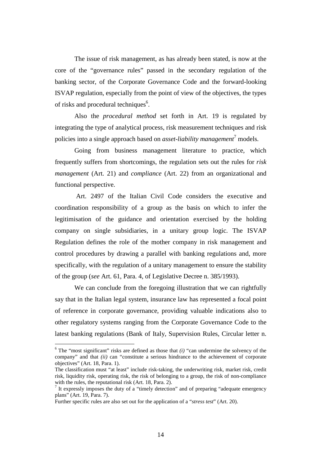The issue of risk management, as has already been stated, is now at the core of the "governance rules" passed in the secondary regulation of the banking sector, of the Corporate Governance Code and the forward-looking ISVAP regulation, especially from the point of view of the objectives, the types of risks and procedural techniques<sup>6</sup>.

Also the *procedural method* set forth in Art. 19 is regulated by integrating the type of analytical process, risk measurement techniques and risk policies into a single approach based on *asset-liability management*<sup>7</sup> models.

Going from business management literature to practice, which frequently suffers from shortcomings, the regulation sets out the rules for *risk management* (Art. 21) and *compliance* (Art. 22) from an organizational and functional perspective.

 Art. 2497 of the Italian Civil Code considers the executive and coordination responsibility of a group as the basis on which to infer the legitimisation of the guidance and orientation exercised by the holding company on single subsidiaries, in a unitary group logic. The ISVAP Regulation defines the role of the mother company in risk management and control procedures by drawing a parallel with banking regulations and, more specifically, with the regulation of a unitary management to ensure the stability of the group (*see* Art. 61, Para. 4, of Legislative Decree n. 385/1993).

We can conclude from the foregoing illustration that we can rightfully say that in the Italian legal system, insurance law has represented a focal point of reference in corporate governance, providing valuable indications also to other regulatory systems ranging from the Corporate Governance Code to the latest banking regulations (Bank of Italy, Supervision Rules, Circular letter n.

 $6$  The "most significant" risks are defined as those that  $(i)$  "can undermine the solvency of the company" and that *(ii)* can "constitute a serious hindrance to the achievement of corporate objectives" (Art. 18, Para. 1).

The classification must "at least" include risk-taking, the underwriting risk, market risk, credit risk, liquidity risk, operating risk, the risk of belonging to a group, the risk of non-compliance with the rules, the reputational risk (Art. 18, Para. 2).<br><sup>7</sup> It expressly imposes the duty of a "timely detection" and of preparing "adequate emergency

plans" (Art. 19, Para. 7).

Further specific rules are also set out for the application of a "*stress test*" (Art. 20).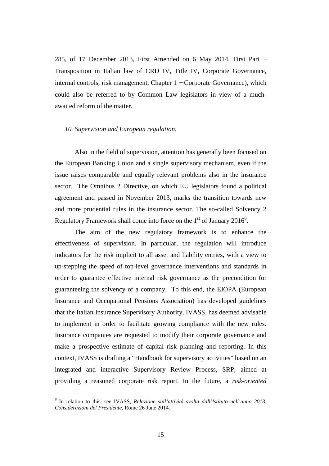285, of 17 December 2013, First Amended on 6 May 2014, First Part − Transposition in Italian law of CRD IV, Title IV, Corporate Governance, internal controls, risk management, Chapter 1 − Corporate Governance), which could also be referred to by Common Law legislators in view of a muchawaited reform of the matter.

#### *10. Supervision and European regulation.*

Also in the field of supervision, attention has generally been focused on the European Banking Union and a single supervisory mechanism, even if the issue raises comparable and equally relevant problems also in the insurance sector. The Omnibus 2 Directive, on which EU legislators found a political agreement and passed in November 2013, marks the transition towards new and more prudential rules in the insurance sector. The so-called Solvency 2 Regulatory Framework shall come into force on the  $1<sup>st</sup>$  of January 2016<sup>8</sup>.

The aim of the new regulatory framework is to enhance the effectiveness of supervision. In particular, the regulation will introduce indicators for the risk implicit to all asset and liability entries, with a view to up-stepping the speed of top-level governance interventions and standards in order to guarantee effective internal risk governance as the precondition for guaranteeing the solvency of a company. To this end, the EIOPA (European Insurance and Occupational Pensions Association) has developed guidelines that the Italian Insurance Supervisory Authority, IVASS, has deemed advisable to implement in order to facilitate growing compliance with the new rules. Insurance companies are requested to modify their corporate governance and make a prospective estimate of capital risk planning and reporting. In this context, IVASS is drafting a "Handbook for supervisory activities" based on an integrated and interactive Supervisory Review Process, SRP, aimed at providing a reasoned corporate risk report. In the future, a *risk-oriented* 

<sup>8</sup> In relation to this, see IVASS, *Relazione sull'attività svolta dall'Istituto nell'anno 2013, Considerazioni del Presidente*, Rome 26 June 2014.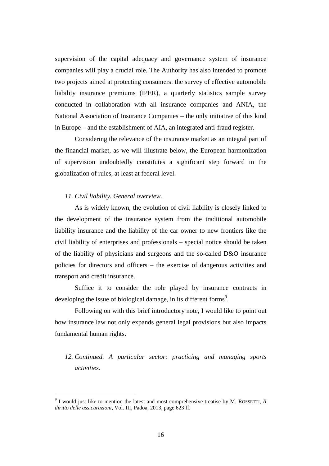supervision of the capital adequacy and governance system of insurance companies will play a crucial role. The Authority has also intended to promote two projects aimed at protecting consumers: the survey of effective automobile liability insurance premiums (IPER), a quarterly statistics sample survey conducted in collaboration with all insurance companies and ANIA, the National Association of Insurance Companies – the only initiative of this kind in Europe – and the establishment of AIA, an integrated anti-fraud register.

Considering the relevance of the insurance market as an integral part of the financial market, as we will illustrate below, the European harmonization of supervision undoubtedly constitutes a significant step forward in the globalization of rules, at least at federal level.

# *11. Civil liability. General overview.*

 $\overline{a}$ 

As is widely known, the evolution of civil liability is closely linked to the development of the insurance system from the traditional automobile liability insurance and the liability of the car owner to new frontiers like the civil liability of enterprises and professionals – special notice should be taken of the liability of physicians and surgeons and the so-called D&O insurance policies for directors and officers – the exercise of dangerous activities and transport and credit insurance.

Suffice it to consider the role played by insurance contracts in developing the issue of biological damage, in its different forms<sup>9</sup>.

Following on with this brief introductory note, I would like to point out how insurance law not only expands general legal provisions but also impacts fundamental human rights.

# *12. Continued. A particular sector: practicing and managing sports activities.*

 $9<sup>9</sup>$  I would just like to mention the latest and most comprehensive treatise by M. ROSSETTI, *Il diritto delle assicurazioni,* Vol. III, Padoa, 2013, page 623 ff.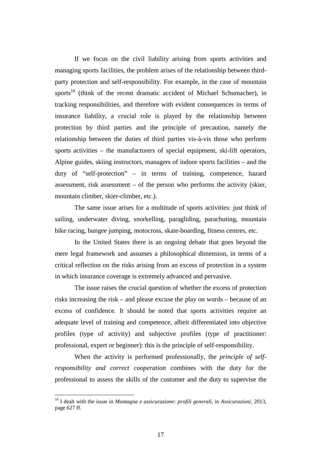If we focus on the civil liability arising from sports activities and managing sports facilities, the problem arises of the relationship between thirdparty protection and self-responsibility. For example, in the case of mountain sports $10$  (think of the recent dramatic accident of Michael Schumacher), in tracking responsibilities, and therefore with evident consequences in terms of insurance liability, a crucial role is played by the relationship between protection by third parties and the principle of precaution, namely the relationship between the duties of third parties vis-à-vis those who perform sports activities – the manufacturers of special equipment, ski-lift operators, Alpine guides, skiing instructors, managers of indoor sports facilities – and the duty of "self-protection" – in terms of training, competence, hazard assessment, risk assessment – of the person who performs the activity (skier, mountain climber, skier-climber, etc.).

The same issue arises for a multitude of sports activities: just think of sailing, underwater diving, snorkelling, paragliding, parachuting, mountain bike racing, bungee jumping, motocross, skate-boarding, fitness centres, etc.

In the United States there is an ongoing debate that goes beyond the mere legal framework and assumes a philosophical dimension, in terms of a critical reflection on the risks arising from an excess of protection in a system in which insurance coverage is extremely advanced and pervasive.

The issue raises the crucial question of whether the excess of protection risks increasing the risk – and please excuse the play on words – because of an excess of confidence. It should be noted that sports activities require an adequate level of training and competence, albeit differentiated into objective profiles (type of activity) and subjective profiles (type of practitioner: professional, expert or beginner): this is the principle of self-responsibility.

When the activity is performed professionally, the *principle of selfresponsibility and correct cooperation* combines with the duty for the professional to assess the skills of the customer and the duty to supervise the

<sup>10</sup> I dealt with the issue in *Montagna e assicurazione: profili generali*, in *Assicurazioni*, 2013, page 627 ff.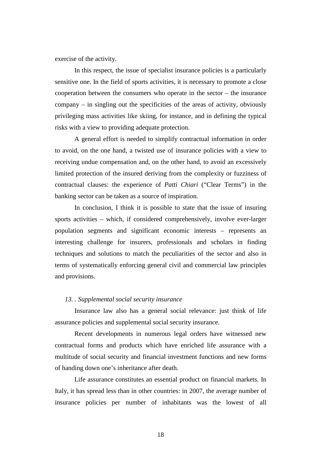exercise of the activity.

In this respect, the issue of specialist insurance policies is a particularly sensitive one. In the field of sports activities, it is necessary to promote a close cooperation between the consumers who operate in the sector – the insurance company – in singling out the specificities of the areas of activity, obviously privileging mass activities like skiing, for instance, and in defining the typical risks with a view to providing adequate protection.

A general effort is needed to simplify contractual information in order to avoid, on the one hand, a twisted use of insurance policies with a view to receiving undue compensation and, on the other hand, to avoid an excessively limited protection of the insured deriving from the complexity or fuzziness of contractual clauses: the experience of *Patti Chiari* ("Clear Terms") in the banking sector can be taken as a source of inspiration.

In conclusion, I think it is possible to state that the issue of insuring sports activities – which, if considered comprehensively, involve ever-larger population segments and significant economic interests – represents an interesting challenge for insurers, professionals and scholars in finding techniques and solutions to match the peculiarities of the sector and also in terms of systematically enforcing general civil and commercial law principles and provisions.

# *13. . Supplemental social security insurance*

Insurance law also has a general social relevance: just think of life assurance policies and supplemental social security insurance.

Recent developments in numerous legal orders have witnessed new contractual forms and products which have enriched life assurance with a multitude of social security and financial investment functions and new forms of handing down one's inheritance after death.

Life assurance constitutes an essential product on financial markets. In Italy, it has spread less than in other countries: in 2007, the average number of insurance policies per number of inhabitants was the lowest of all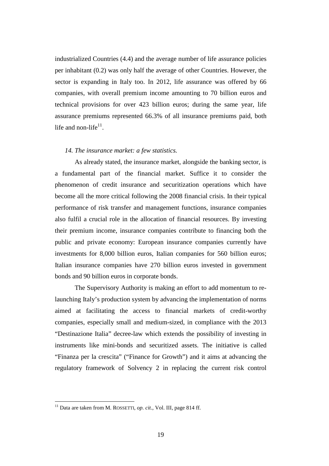industrialized Countries (4.4) and the average number of life assurance policies per inhabitant (0.2) was only half the average of other Countries. However, the sector is expanding in Italy too. In 2012, life assurance was offered by 66 companies, with overall premium income amounting to 70 billion euros and technical provisions for over 423 billion euros; during the same year, life assurance premiums represented 66.3% of all insurance premiums paid, both life and non-life $11$ .

# *14. The insurance market: a few statistics.*

As already stated, the insurance market, alongside the banking sector, is a fundamental part of the financial market. Suffice it to consider the phenomenon of credit insurance and securitization operations which have become all the more critical following the 2008 financial crisis. In their typical performance of risk transfer and management functions, insurance companies also fulfil a crucial role in the allocation of financial resources. By investing their premium income, insurance companies contribute to financing both the public and private economy: European insurance companies currently have investments for 8,000 billion euros, Italian companies for 560 billion euros; Italian insurance companies have 270 billion euros invested in government bonds and 90 billion euros in corporate bonds.

The Supervisory Authority is making an effort to add momentum to relaunching Italy's production system by advancing the implementation of norms aimed at facilitating the access to financial markets of credit-worthy companies, especially small and medium-sized, in compliance with the 2013 "Destinazione Italia" decree-law which extends the possibility of investing in instruments like mini-bonds and securitized assets. The initiative is called "Finanza per la crescita" ("Finance for Growth") and it aims at advancing the regulatory framework of Solvency 2 in replacing the current risk control

<sup>11</sup> Data are taken from M. ROSSETTI, *op. cit*., Vol. III, page 814 ff.